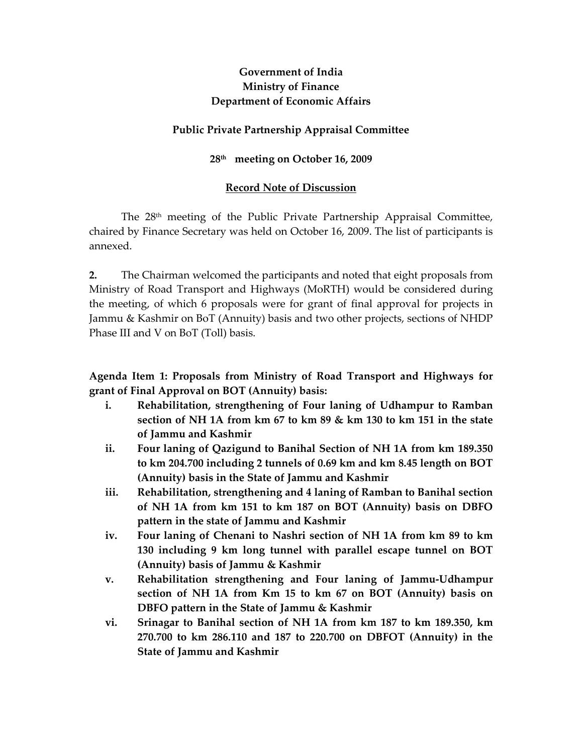# Government of India Ministry of Finance Department of Economic Affairs

## Public Private Partnership Appraisal Committee

## 28<sup>th</sup> meeting on October 16, 2009

## Record Note of Discussion

The 28th meeting of the Public Private Partnership Appraisal Committee, chaired by Finance Secretary was held on October 16, 2009. The list of participants is annexed.

2. The Chairman welcomed the participants and noted that eight proposals from Ministry of Road Transport and Highways (MoRTH) would be considered during the meeting, of which 6 proposals were for grant of final approval for projects in Jammu & Kashmir on BoT (Annuity) basis and two other projects, sections of NHDP Phase III and V on BoT (Toll) basis.

Agenda Item 1: Proposals from Ministry of Road Transport and Highways for grant of Final Approval on BOT (Annuity) basis:

- i. Rehabilitation, strengthening of Four laning of Udhampur to Ramban section of NH 1A from km 67 to km 89 & km 130 to km 151 in the state of Jammu and Kashmir
- ii. Four laning of Qazigund to Banihal Section of NH 1A from km 189.350 to km 204.700 including 2 tunnels of 0.69 km and km 8.45 length on BOT (Annuity) basis in the State of Jammu and Kashmir
- iii. Rehabilitation, strengthening and 4 laning of Ramban to Banihal section of NH 1A from km 151 to km 187 on BOT (Annuity) basis on DBFO pattern in the state of Jammu and Kashmir
- iv. Four laning of Chenani to Nashri section of NH 1A from km 89 to km 130 including 9 km long tunnel with parallel escape tunnel on BOT (Annuity) basis of Jammu & Kashmir
- v. Rehabilitation strengthening and Four laning of Jammu-Udhampur section of NH 1A from Km 15 to km 67 on BOT (Annuity) basis on DBFO pattern in the State of Jammu & Kashmir
- vi. Srinagar to Banihal section of NH 1A from km 187 to km 189.350, km 270.700 to km 286.110 and 187 to 220.700 on DBFOT (Annuity) in the State of Jammu and Kashmir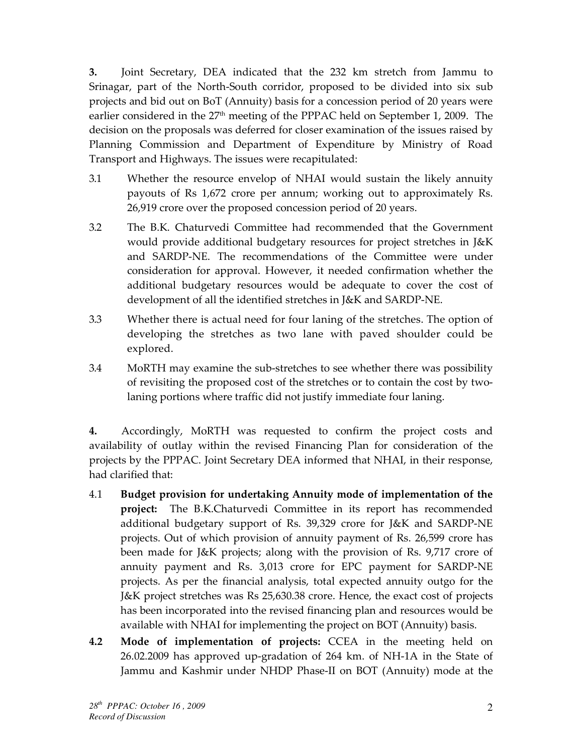3. Joint Secretary, DEA indicated that the 232 km stretch from Jammu to Srinagar, part of the North-South corridor, proposed to be divided into six sub projects and bid out on BoT (Annuity) basis for a concession period of 20 years were earlier considered in the 27<sup>th</sup> meeting of the PPPAC held on September 1, 2009. The decision on the proposals was deferred for closer examination of the issues raised by Planning Commission and Department of Expenditure by Ministry of Road Transport and Highways. The issues were recapitulated:

- 3.1 Whether the resource envelop of NHAI would sustain the likely annuity payouts of Rs 1,672 crore per annum; working out to approximately Rs. 26,919 crore over the proposed concession period of 20 years.
- 3.2 The B.K. Chaturvedi Committee had recommended that the Government would provide additional budgetary resources for project stretches in J&K and SARDP-NE. The recommendations of the Committee were under consideration for approval. However, it needed confirmation whether the additional budgetary resources would be adequate to cover the cost of development of all the identified stretches in J&K and SARDP-NE.
- 3.3 Whether there is actual need for four laning of the stretches. The option of developing the stretches as two lane with paved shoulder could be explored.
- 3.4 MoRTH may examine the sub-stretches to see whether there was possibility of revisiting the proposed cost of the stretches or to contain the cost by twolaning portions where traffic did not justify immediate four laning.

4. Accordingly, MoRTH was requested to confirm the project costs and availability of outlay within the revised Financing Plan for consideration of the projects by the PPPAC. Joint Secretary DEA informed that NHAI, in their response, had clarified that:

- 4.1 Budget provision for undertaking Annuity mode of implementation of the project: The B.K.Chaturvedi Committee in its report has recommended additional budgetary support of Rs. 39,329 crore for J&K and SARDP-NE projects. Out of which provision of annuity payment of Rs. 26,599 crore has been made for J&K projects; along with the provision of Rs. 9,717 crore of annuity payment and Rs. 3,013 crore for EPC payment for SARDP-NE projects. As per the financial analysis, total expected annuity outgo for the J&K project stretches was Rs 25,630.38 crore. Hence, the exact cost of projects has been incorporated into the revised financing plan and resources would be available with NHAI for implementing the project on BOT (Annuity) basis.
- 4.2 Mode of implementation of projects: CCEA in the meeting held on 26.02.2009 has approved up-gradation of 264 km. of NH-1A in the State of Jammu and Kashmir under NHDP Phase-II on BOT (Annuity) mode at the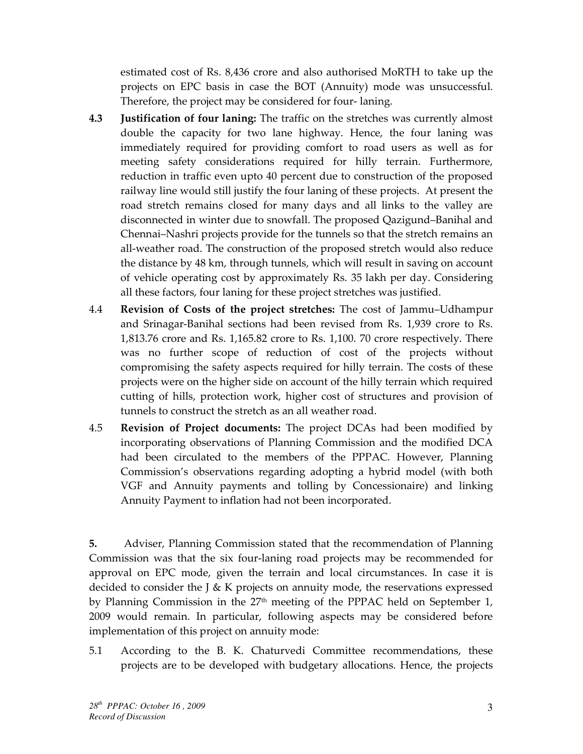estimated cost of Rs. 8,436 crore and also authorised MoRTH to take up the projects on EPC basis in case the BOT (Annuity) mode was unsuccessful. Therefore, the project may be considered for four- laning.

- 4.3 Justification of four laning: The traffic on the stretches was currently almost double the capacity for two lane highway. Hence, the four laning was immediately required for providing comfort to road users as well as for meeting safety considerations required for hilly terrain. Furthermore, reduction in traffic even upto 40 percent due to construction of the proposed railway line would still justify the four laning of these projects. At present the road stretch remains closed for many days and all links to the valley are disconnected in winter due to snowfall. The proposed Qazigund–Banihal and Chennai–Nashri projects provide for the tunnels so that the stretch remains an all-weather road. The construction of the proposed stretch would also reduce the distance by 48 km, through tunnels, which will result in saving on account of vehicle operating cost by approximately Rs. 35 lakh per day. Considering all these factors, four laning for these project stretches was justified.
- 4.4 Revision of Costs of the project stretches: The cost of Jammu–Udhampur and Srinagar-Banihal sections had been revised from Rs. 1,939 crore to Rs. 1,813.76 crore and Rs. 1,165.82 crore to Rs. 1,100. 70 crore respectively. There was no further scope of reduction of cost of the projects without compromising the safety aspects required for hilly terrain. The costs of these projects were on the higher side on account of the hilly terrain which required cutting of hills, protection work, higher cost of structures and provision of tunnels to construct the stretch as an all weather road.
- 4.5 Revision of Project documents: The project DCAs had been modified by incorporating observations of Planning Commission and the modified DCA had been circulated to the members of the PPPAC. However, Planning Commission's observations regarding adopting a hybrid model (with both VGF and Annuity payments and tolling by Concessionaire) and linking Annuity Payment to inflation had not been incorporated.

5. Adviser, Planning Commission stated that the recommendation of Planning Commission was that the six four-laning road projects may be recommended for approval on EPC mode, given the terrain and local circumstances. In case it is decided to consider the J & K projects on annuity mode, the reservations expressed by Planning Commission in the 27<sup>th</sup> meeting of the PPPAC held on September 1, 2009 would remain. In particular, following aspects may be considered before implementation of this project on annuity mode:

5.1 According to the B. K. Chaturvedi Committee recommendations, these projects are to be developed with budgetary allocations. Hence, the projects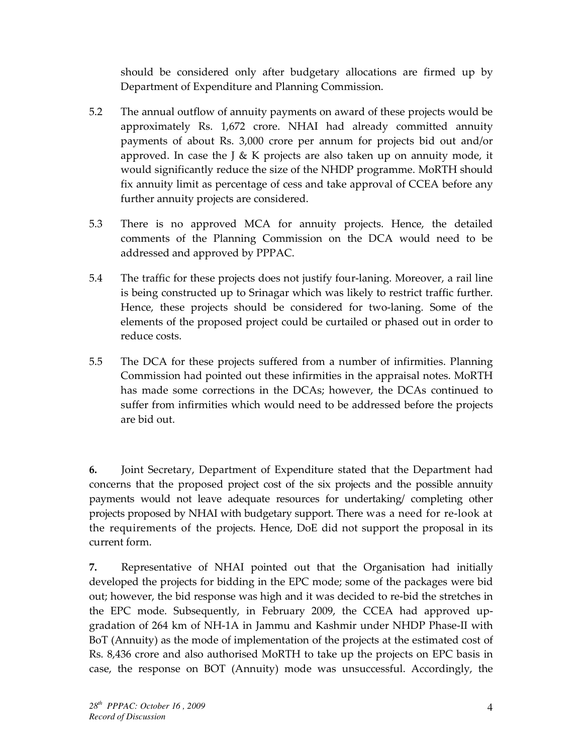should be considered only after budgetary allocations are firmed up by Department of Expenditure and Planning Commission.

- 5.2 The annual outflow of annuity payments on award of these projects would be approximately Rs. 1,672 crore. NHAI had already committed annuity payments of about Rs. 3,000 crore per annum for projects bid out and/or approved. In case the J & K projects are also taken up on annuity mode, it would significantly reduce the size of the NHDP programme. MoRTH should fix annuity limit as percentage of cess and take approval of CCEA before any further annuity projects are considered.
- 5.3 There is no approved MCA for annuity projects. Hence, the detailed comments of the Planning Commission on the DCA would need to be addressed and approved by PPPAC.
- 5.4 The traffic for these projects does not justify four-laning. Moreover, a rail line is being constructed up to Srinagar which was likely to restrict traffic further. Hence, these projects should be considered for two-laning. Some of the elements of the proposed project could be curtailed or phased out in order to reduce costs.
- 5.5 The DCA for these projects suffered from a number of infirmities. Planning Commission had pointed out these infirmities in the appraisal notes. MoRTH has made some corrections in the DCAs; however, the DCAs continued to suffer from infirmities which would need to be addressed before the projects are bid out.

6. Joint Secretary, Department of Expenditure stated that the Department had concerns that the proposed project cost of the six projects and the possible annuity payments would not leave adequate resources for undertaking/ completing other projects proposed by NHAI with budgetary support. There was a need for re-look at the requirements of the projects. Hence, DoE did not support the proposal in its current form.

7. Representative of NHAI pointed out that the Organisation had initially developed the projects for bidding in the EPC mode; some of the packages were bid out; however, the bid response was high and it was decided to re-bid the stretches in the EPC mode. Subsequently, in February 2009, the CCEA had approved upgradation of 264 km of NH-1A in Jammu and Kashmir under NHDP Phase-II with BoT (Annuity) as the mode of implementation of the projects at the estimated cost of Rs. 8,436 crore and also authorised MoRTH to take up the projects on EPC basis in case, the response on BOT (Annuity) mode was unsuccessful. Accordingly, the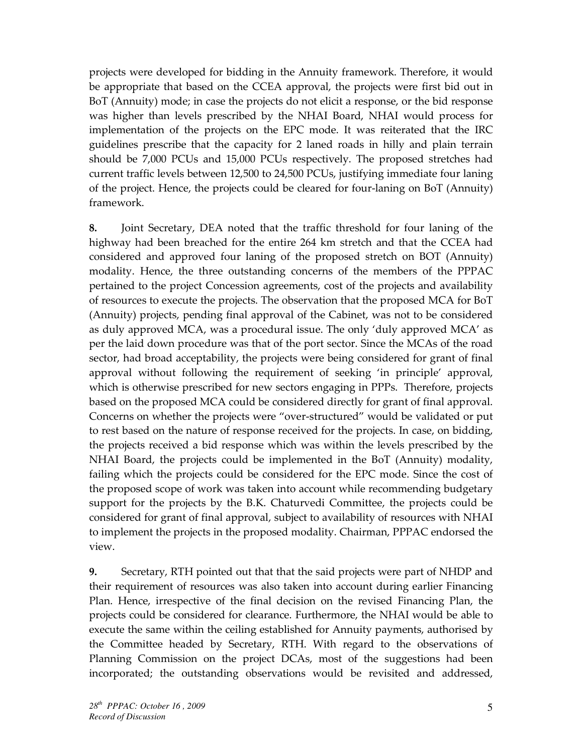projects were developed for bidding in the Annuity framework. Therefore, it would be appropriate that based on the CCEA approval, the projects were first bid out in BoT (Annuity) mode; in case the projects do not elicit a response, or the bid response was higher than levels prescribed by the NHAI Board, NHAI would process for implementation of the projects on the EPC mode. It was reiterated that the IRC guidelines prescribe that the capacity for 2 laned roads in hilly and plain terrain should be 7,000 PCUs and 15,000 PCUs respectively. The proposed stretches had current traffic levels between 12,500 to 24,500 PCUs, justifying immediate four laning of the project. Hence, the projects could be cleared for four-laning on BoT (Annuity) framework.

8. Joint Secretary, DEA noted that the traffic threshold for four laning of the highway had been breached for the entire 264 km stretch and that the CCEA had considered and approved four laning of the proposed stretch on BOT (Annuity) modality. Hence, the three outstanding concerns of the members of the PPPAC pertained to the project Concession agreements, cost of the projects and availability of resources to execute the projects. The observation that the proposed MCA for BoT (Annuity) projects, pending final approval of the Cabinet, was not to be considered as duly approved MCA, was a procedural issue. The only 'duly approved MCA' as per the laid down procedure was that of the port sector. Since the MCAs of the road sector, had broad acceptability, the projects were being considered for grant of final approval without following the requirement of seeking 'in principle' approval, which is otherwise prescribed for new sectors engaging in PPPs. Therefore, projects based on the proposed MCA could be considered directly for grant of final approval. Concerns on whether the projects were "over-structured" would be validated or put to rest based on the nature of response received for the projects. In case, on bidding, the projects received a bid response which was within the levels prescribed by the NHAI Board, the projects could be implemented in the BoT (Annuity) modality, failing which the projects could be considered for the EPC mode. Since the cost of the proposed scope of work was taken into account while recommending budgetary support for the projects by the B.K. Chaturvedi Committee, the projects could be considered for grant of final approval, subject to availability of resources with NHAI to implement the projects in the proposed modality. Chairman, PPPAC endorsed the view.

9. Secretary, RTH pointed out that that the said projects were part of NHDP and their requirement of resources was also taken into account during earlier Financing Plan. Hence, irrespective of the final decision on the revised Financing Plan, the projects could be considered for clearance. Furthermore, the NHAI would be able to execute the same within the ceiling established for Annuity payments, authorised by the Committee headed by Secretary, RTH. With regard to the observations of Planning Commission on the project DCAs, most of the suggestions had been incorporated; the outstanding observations would be revisited and addressed,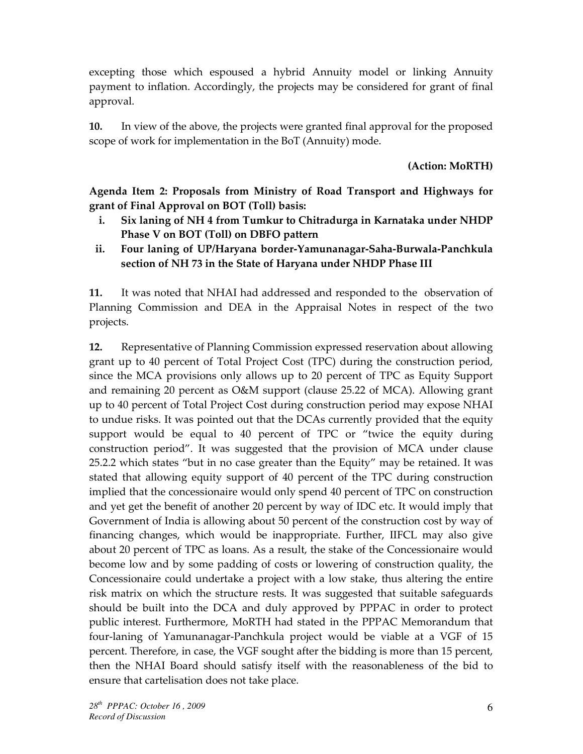excepting those which espoused a hybrid Annuity model or linking Annuity payment to inflation. Accordingly, the projects may be considered for grant of final approval.

10. In view of the above, the projects were granted final approval for the proposed scope of work for implementation in the BoT (Annuity) mode.

(Action: MoRTH)

Agenda Item 2: Proposals from Ministry of Road Transport and Highways for grant of Final Approval on BOT (Toll) basis:

- i. Six laning of NH 4 from Tumkur to Chitradurga in Karnataka under NHDP Phase V on BOT (Toll) on DBFO pattern
- ii. Four laning of UP/Haryana border-Yamunanagar-Saha-Burwala-Panchkula section of NH 73 in the State of Haryana under NHDP Phase III

11. It was noted that NHAI had addressed and responded to the observation of Planning Commission and DEA in the Appraisal Notes in respect of the two projects.

12. Representative of Planning Commission expressed reservation about allowing grant up to 40 percent of Total Project Cost (TPC) during the construction period, since the MCA provisions only allows up to 20 percent of TPC as Equity Support and remaining 20 percent as O&M support (clause 25.22 of MCA). Allowing grant up to 40 percent of Total Project Cost during construction period may expose NHAI to undue risks. It was pointed out that the DCAs currently provided that the equity support would be equal to 40 percent of TPC or "twice the equity during construction period". It was suggested that the provision of MCA under clause 25.2.2 which states "but in no case greater than the Equity" may be retained. It was stated that allowing equity support of 40 percent of the TPC during construction implied that the concessionaire would only spend 40 percent of TPC on construction and yet get the benefit of another 20 percent by way of IDC etc. It would imply that Government of India is allowing about 50 percent of the construction cost by way of financing changes, which would be inappropriate. Further, IIFCL may also give about 20 percent of TPC as loans. As a result, the stake of the Concessionaire would become low and by some padding of costs or lowering of construction quality, the Concessionaire could undertake a project with a low stake, thus altering the entire risk matrix on which the structure rests. It was suggested that suitable safeguards should be built into the DCA and duly approved by PPPAC in order to protect public interest. Furthermore, MoRTH had stated in the PPPAC Memorandum that four-laning of Yamunanagar-Panchkula project would be viable at a VGF of 15 percent. Therefore, in case, the VGF sought after the bidding is more than 15 percent, then the NHAI Board should satisfy itself with the reasonableness of the bid to ensure that cartelisation does not take place.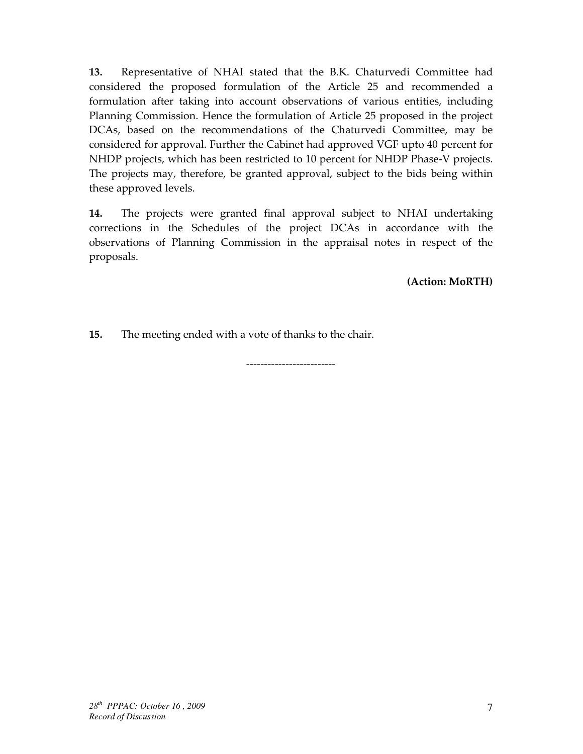13. Representative of NHAI stated that the B.K. Chaturvedi Committee had considered the proposed formulation of the Article 25 and recommended a formulation after taking into account observations of various entities, including Planning Commission. Hence the formulation of Article 25 proposed in the project DCAs, based on the recommendations of the Chaturvedi Committee, may be considered for approval. Further the Cabinet had approved VGF upto 40 percent for NHDP projects, which has been restricted to 10 percent for NHDP Phase-V projects. The projects may, therefore, be granted approval, subject to the bids being within these approved levels.

14. The projects were granted final approval subject to NHAI undertaking corrections in the Schedules of the project DCAs in accordance with the observations of Planning Commission in the appraisal notes in respect of the proposals.

(Action: MoRTH)

15. The meeting ended with a vote of thanks to the chair.

-------------------------